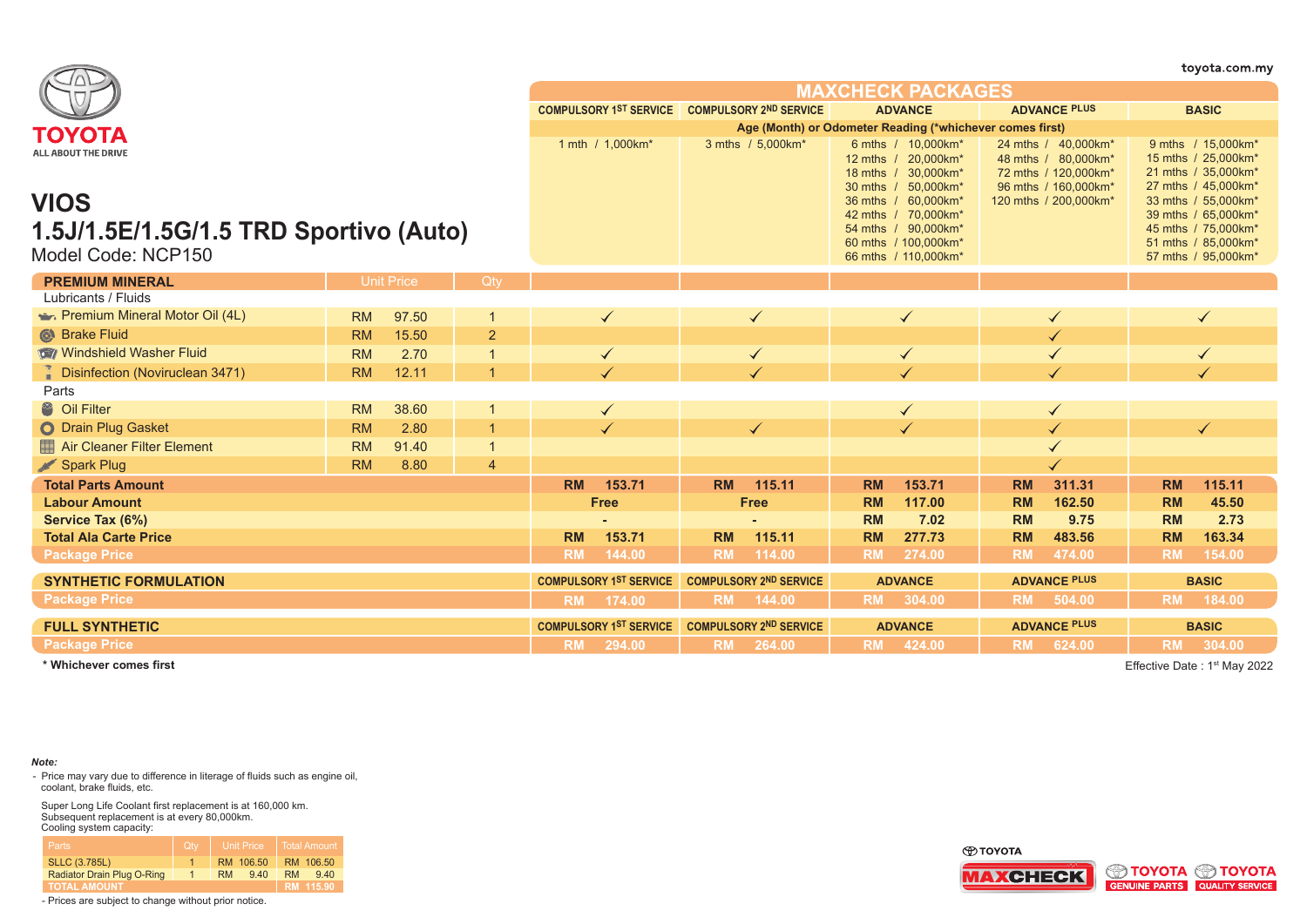|                                        |           |                   |                |           |                                               |                               |                                                          |                |                                                                                         |                     |                                                                                            |           | toyota.com.my                                                                           |
|----------------------------------------|-----------|-------------------|----------------|-----------|-----------------------------------------------|-------------------------------|----------------------------------------------------------|----------------|-----------------------------------------------------------------------------------------|---------------------|--------------------------------------------------------------------------------------------|-----------|-----------------------------------------------------------------------------------------|
|                                        |           |                   |                |           |                                               |                               |                                                          |                | <b>MAXCHECK PACKAGES</b>                                                                |                     |                                                                                            |           |                                                                                         |
|                                        |           |                   |                |           | COMPULSORY 1ST SERVICE COMPULSORY 2ND SERVICE |                               |                                                          |                | <b>ADVANCE</b>                                                                          |                     | <b>ADVANCE PLUS</b>                                                                        |           | <b>BASIC</b>                                                                            |
| ΤΟΥΟΤΑ                                 |           |                   |                |           |                                               |                               | Age (Month) or Odometer Reading (*whichever comes first) |                |                                                                                         |                     |                                                                                            |           |                                                                                         |
| <b>ALL ABOUT THE DRIVE</b>             |           |                   |                |           | 1 mth / 1,000km*                              |                               | 3 mths / 5,000km*                                        |                | 6 mths / 10,000km*<br>12 mths / 20,000km*<br>18 mths / 30,000km*<br>30 mths / 50,000km* |                     | 24 mths / 40,000km*<br>48 mths / 80,000km*<br>72 mths / 120,000km*<br>96 mths / 160,000km* |           | 9 mths / 15,000km*<br>15 mths / 25,000km*<br>21 mths / 35,000km*<br>27 mths / 45,000km* |
| <b>VIOS</b>                            |           |                   |                |           |                                               |                               |                                                          |                | 36 mths / 60,000km*<br>42 mths / 70,000km*                                              |                     | 120 mths / 200,000km*                                                                      |           | 33 mths / 55,000km*<br>39 mths / 65,000km*                                              |
| 1.5J/1.5E/1.5G/1.5 TRD Sportivo (Auto) |           |                   |                |           |                                               |                               |                                                          |                | 54 mths / 90,000km*                                                                     |                     |                                                                                            |           | 45 mths / 75,000km*                                                                     |
|                                        |           |                   |                |           |                                               |                               |                                                          |                | 60 mths / 100,000km*                                                                    |                     |                                                                                            |           | 51 mths / 85,000km*                                                                     |
| Model Code: NCP150                     |           |                   |                |           |                                               |                               |                                                          |                | 66 mths / 110,000km*                                                                    |                     |                                                                                            |           | 57 mths / 95,000km*                                                                     |
| <b>PREMIUM MINERAL</b>                 |           | <b>Unit Price</b> | Qty            |           |                                               |                               |                                                          |                |                                                                                         |                     |                                                                                            |           |                                                                                         |
| Lubricants / Fluids                    |           |                   |                |           |                                               |                               |                                                          |                |                                                                                         |                     |                                                                                            |           |                                                                                         |
| Premium Mineral Motor Oil (4L)         | <b>RM</b> | 97.50             |                |           | $\checkmark$                                  |                               | $\checkmark$                                             |                | ✓                                                                                       |                     |                                                                                            |           | $\checkmark$                                                                            |
| <b>&amp;</b> Brake Fluid               | <b>RM</b> | 15.50             | $\overline{2}$ |           |                                               |                               |                                                          |                |                                                                                         |                     |                                                                                            |           |                                                                                         |
| Windshield Washer Fluid                | <b>RM</b> | 2.70              |                |           | $\checkmark$                                  | $\checkmark$                  |                                                          | $\checkmark$   |                                                                                         |                     |                                                                                            |           |                                                                                         |
| Disinfection (Noviruclean 3471)        | <b>RM</b> | 12.11             | $\overline{1}$ |           | ✓                                             |                               |                                                          |                |                                                                                         |                     |                                                                                            |           |                                                                                         |
| Parts                                  |           |                   |                |           |                                               |                               |                                                          |                |                                                                                         |                     |                                                                                            |           |                                                                                         |
| <sup>8</sup> Oil Filter                | <b>RM</b> | 38.60             |                |           | $\checkmark$                                  |                               |                                                          |                |                                                                                         |                     |                                                                                            |           |                                                                                         |
| O Drain Plug Gasket                    | <b>RM</b> | 2.80              |                |           | $\checkmark$                                  |                               | $\checkmark$                                             |                |                                                                                         |                     |                                                                                            |           | $\checkmark$                                                                            |
| Air Cleaner Filter Element             | <b>RM</b> | 91.40             | $\overline{1}$ |           |                                               |                               |                                                          |                |                                                                                         |                     |                                                                                            |           |                                                                                         |
| Spark Plug                             | <b>RM</b> | 8.80              | $\overline{4}$ |           |                                               |                               |                                                          |                |                                                                                         |                     |                                                                                            |           |                                                                                         |
| <b>Total Parts Amount</b>              |           |                   |                | <b>RM</b> | 153.71                                        | <b>RM</b>                     | 115.11                                                   | <b>RM</b>      | 153.71                                                                                  | <b>RM</b>           | 311.31                                                                                     | <b>RM</b> | 115.11                                                                                  |
| <b>Labour Amount</b>                   |           |                   |                |           | <b>Free</b>                                   |                               | <b>Free</b>                                              | <b>RM</b>      | 117.00                                                                                  | <b>RM</b>           | 162.50                                                                                     | <b>RM</b> | 45.50                                                                                   |
| Service Tax (6%)                       |           |                   |                |           |                                               |                               |                                                          | <b>RM</b>      | 7.02                                                                                    | <b>RM</b>           | 9.75                                                                                       | <b>RM</b> | 2.73                                                                                    |
| <b>Total Ala Carte Price</b>           |           |                   |                | <b>RM</b> | 153.71                                        | <b>RM</b>                     | 115.11                                                   | <b>RM</b>      | 277.73                                                                                  | <b>RM</b>           | 483.56                                                                                     | <b>RM</b> | 163.34                                                                                  |
| <b>Package Price</b>                   |           |                   |                | <b>RM</b> | 144.00                                        | <b>RM</b>                     | 114.00                                                   | <b>RM</b>      | 274.00                                                                                  | <b>RM</b>           | 474.00                                                                                     | <b>RM</b> | 154.00                                                                                  |
| <b>SYNTHETIC FORMULATION</b>           |           |                   |                |           | <b>COMPULSORY 1ST SERVICE</b>                 |                               | <b>COMPULSORY 2ND SERVICE</b>                            |                | <b>ADVANCE</b>                                                                          |                     | <b>ADVANCE PLUS</b>                                                                        |           | <b>BASIC</b>                                                                            |
| <b>Package Price</b>                   |           |                   |                | <b>RM</b> | 174.00                                        | <b>RM</b>                     | 144.00                                                   | <b>RM</b>      | 304.00                                                                                  | <b>RM</b>           | 504.00                                                                                     | <b>RM</b> | 184.00                                                                                  |
| <b>FULL SYNTHETIC</b>                  |           |                   |                |           | <b>COMPULSORY 1ST SERVICE</b>                 | <b>COMPULSORY 2ND SERVICE</b> |                                                          | <b>ADVANCE</b> |                                                                                         | <b>ADVANCE PLUS</b> |                                                                                            |           | <b>BASIC</b>                                                                            |
| <b>Package Price</b>                   |           |                   |                |           | RM 294.00                                     |                               | RM 264.00                                                |                | RM 424.00                                                                               |                     | RM 624.00                                                                                  |           | RM 304.00                                                                               |
|                                        |           |                   |                |           |                                               |                               |                                                          |                |                                                                                         |                     |                                                                                            |           |                                                                                         |

Effective Date: 1<sup>st</sup> May 2022

## *Note:*

- Price may vary due to difference in literage of fluids such as engine oil, coolant, brake fluids, etc.

Super Long Life Coolant first replacement is at 160,000 km. Subsequent replacement is at every 80,000km. Cooling system capacity:

| Parts                      | <b>Ctv</b> |           | <b>Unit Price</b> |           | <b>Total Amount</b> |
|----------------------------|------------|-----------|-------------------|-----------|---------------------|
| <b>SLLC (3.785L)</b>       |            |           | RM 106.50         |           | RM 106.50           |
| Radiator Drain Plug O-Ring |            | <b>RM</b> | 9.40              | <b>RM</b> | 9.40                |
| <b>TOTAL AMOUNT</b>        |            |           |                   |           | RM 115.90           |



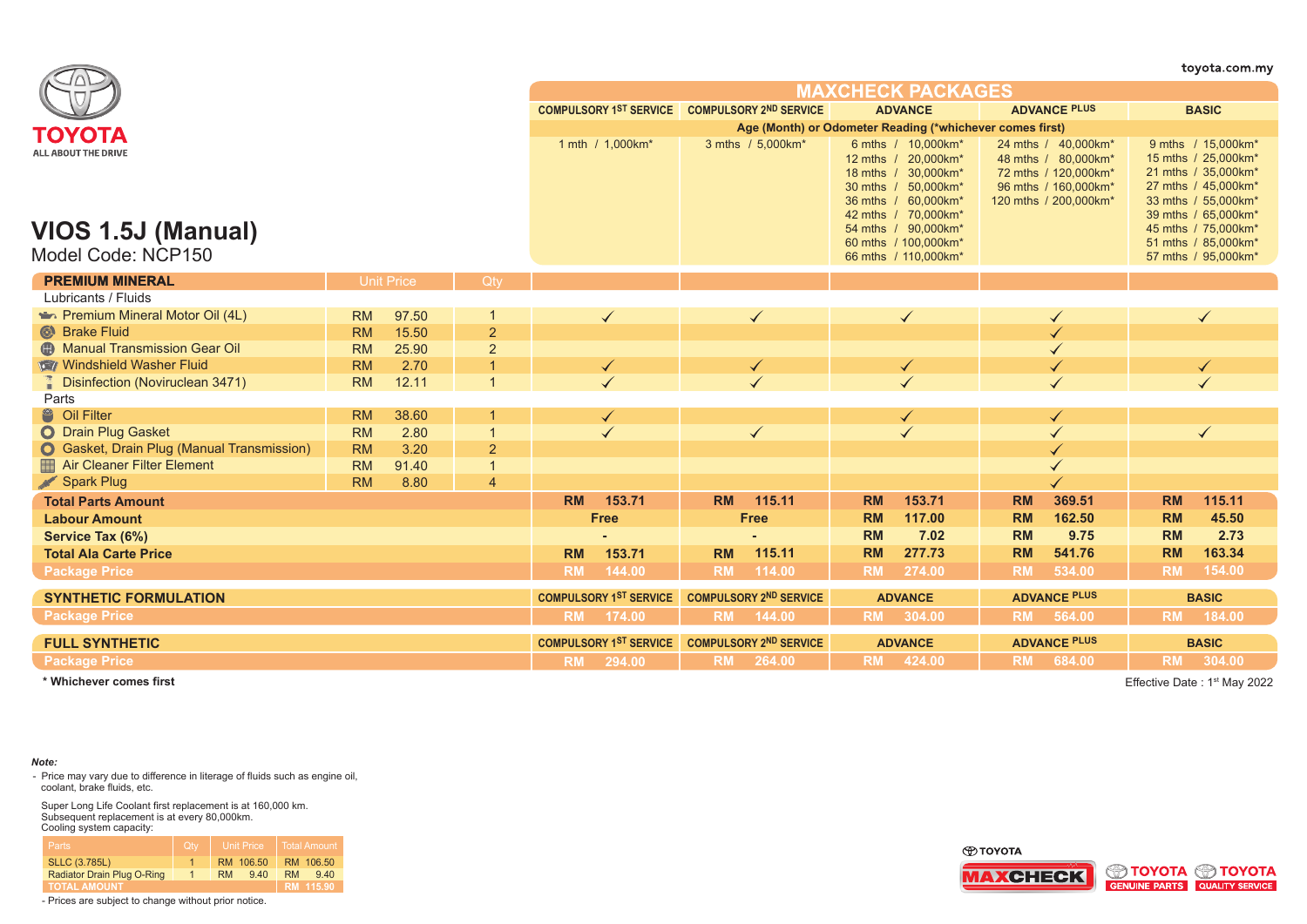|                                                                 |           |                   |                         |                               |                                               |                               |                                                          |                |                                                                                                                                                                                                              |                     |                                                                                                                     |           | toyota.com.my                                                                                                                                                                                              |
|-----------------------------------------------------------------|-----------|-------------------|-------------------------|-------------------------------|-----------------------------------------------|-------------------------------|----------------------------------------------------------|----------------|--------------------------------------------------------------------------------------------------------------------------------------------------------------------------------------------------------------|---------------------|---------------------------------------------------------------------------------------------------------------------|-----------|------------------------------------------------------------------------------------------------------------------------------------------------------------------------------------------------------------|
|                                                                 |           |                   |                         |                               |                                               |                               |                                                          |                | <b>MAXCHECK PACKAGES</b>                                                                                                                                                                                     |                     |                                                                                                                     |           |                                                                                                                                                                                                            |
|                                                                 |           |                   |                         |                               | COMPULSORY 1ST SERVICE COMPULSORY 2ND SERVICE |                               |                                                          |                | <b>ADVANCE</b>                                                                                                                                                                                               |                     | <b>ADVANCE PLUS</b>                                                                                                 |           | <b>BASIC</b>                                                                                                                                                                                               |
| ΤΟΥΟΤΑ                                                          |           |                   |                         |                               |                                               |                               | Age (Month) or Odometer Reading (*whichever comes first) |                |                                                                                                                                                                                                              |                     |                                                                                                                     |           |                                                                                                                                                                                                            |
| ALL ABOUT THE DRIVE<br>VIOS 1.5J (Manual)<br>Model Code: NCP150 |           |                   |                         |                               | 1 mth / 1.000km*                              |                               | 3 mths / 5,000km*                                        |                | 6 mths / 10,000km*<br>12 mths / 20,000km*<br>18 mths / 30,000km*<br>30 mths / 50,000km*<br>36 mths / 60,000km*<br>42 mths / 70.000km*<br>54 mths / 90,000km*<br>60 mths / 100,000km*<br>66 mths / 110,000km* |                     | 24 mths / 40,000km*<br>48 mths / 80,000km*<br>72 mths / 120,000km*<br>96 mths / 160,000km*<br>120 mths / 200,000km* |           | 9 mths / 15,000km*<br>15 mths / 25,000km*<br>21 mths / 35,000km*<br>27 mths / 45,000km*<br>33 mths / 55,000km*<br>39 mths / 65,000km*<br>45 mths / 75,000km*<br>51 mths / 85,000km*<br>57 mths / 95,000km* |
| <b>PREMIUM MINERAL</b>                                          |           | <b>Unit Price</b> | Qty                     |                               |                                               |                               |                                                          |                |                                                                                                                                                                                                              |                     |                                                                                                                     |           |                                                                                                                                                                                                            |
| Lubricants / Fluids                                             |           |                   |                         |                               |                                               |                               |                                                          |                |                                                                                                                                                                                                              |                     |                                                                                                                     |           |                                                                                                                                                                                                            |
| Premium Mineral Motor Oil (4L)                                  | <b>RM</b> | 97.50             |                         |                               | $\checkmark$                                  |                               | $\checkmark$                                             |                | ✓                                                                                                                                                                                                            |                     |                                                                                                                     |           | $\checkmark$                                                                                                                                                                                               |
| <sup>O</sup> Brake Fluid                                        | <b>RM</b> | 15.50             | $\overline{2}$          |                               |                                               |                               |                                                          |                |                                                                                                                                                                                                              |                     |                                                                                                                     |           |                                                                                                                                                                                                            |
| <b>B</b> Manual Transmission Gear Oil                           | <b>RM</b> | 25.90             | $\overline{2}$          |                               |                                               |                               |                                                          |                |                                                                                                                                                                                                              |                     |                                                                                                                     |           |                                                                                                                                                                                                            |
| <b>Windshield Washer Fluid</b>                                  | <b>RM</b> | 2.70              |                         |                               | ✔                                             |                               | ✓                                                        |                |                                                                                                                                                                                                              |                     |                                                                                                                     |           |                                                                                                                                                                                                            |
| <b>Disinfection (Noviruclean 3471)</b>                          | <b>RM</b> | 12.11             | $\overline{1}$          |                               |                                               |                               |                                                          |                |                                                                                                                                                                                                              |                     |                                                                                                                     |           |                                                                                                                                                                                                            |
| Parts                                                           |           |                   |                         |                               |                                               |                               |                                                          |                |                                                                                                                                                                                                              |                     |                                                                                                                     |           |                                                                                                                                                                                                            |
| <sup>8</sup> Oil Filter                                         | <b>RM</b> | 38.60             |                         |                               | ✔                                             |                               |                                                          |                | ✓                                                                                                                                                                                                            |                     |                                                                                                                     |           |                                                                                                                                                                                                            |
| O Drain Plug Gasket                                             | <b>RM</b> | 2.80              | $\overline{\mathbf{1}}$ |                               |                                               |                               | ✓                                                        |                |                                                                                                                                                                                                              |                     |                                                                                                                     |           |                                                                                                                                                                                                            |
| <b>O</b> Gasket, Drain Plug (Manual Transmission)               | <b>RM</b> | 3.20              | $\overline{2}$          |                               |                                               |                               |                                                          |                |                                                                                                                                                                                                              |                     |                                                                                                                     |           |                                                                                                                                                                                                            |
| Air Cleaner Filter Element                                      | <b>RM</b> | 91.40             | $\overline{1}$          |                               |                                               |                               |                                                          |                |                                                                                                                                                                                                              |                     |                                                                                                                     |           |                                                                                                                                                                                                            |
| Spark Plug                                                      | <b>RM</b> | 8.80              | $\overline{4}$          |                               |                                               |                               |                                                          |                |                                                                                                                                                                                                              |                     |                                                                                                                     |           |                                                                                                                                                                                                            |
| <b>Total Parts Amount</b>                                       |           |                   |                         | <b>RM</b>                     | 153.71                                        | <b>RM</b>                     | 115.11                                                   | <b>RM</b>      | 153.71                                                                                                                                                                                                       | <b>RM</b>           | 369.51                                                                                                              | <b>RM</b> | 115.11                                                                                                                                                                                                     |
| <b>Labour Amount</b>                                            |           |                   |                         |                               | Free                                          |                               | <b>Free</b>                                              | <b>RM</b>      | 117.00                                                                                                                                                                                                       | <b>RM</b>           | 162.50                                                                                                              | <b>RM</b> | 45.50                                                                                                                                                                                                      |
| Service Tax (6%)                                                |           |                   |                         |                               |                                               |                               |                                                          | <b>RM</b>      | 7.02                                                                                                                                                                                                         | <b>RM</b>           | 9.75                                                                                                                | <b>RM</b> | 2.73                                                                                                                                                                                                       |
| <b>Total Ala Carte Price</b>                                    |           |                   |                         | <b>RM</b>                     | 153.71                                        | <b>RM</b>                     | 115.11                                                   | <b>RM</b>      | 277.73                                                                                                                                                                                                       | <b>RM</b>           | 541.76                                                                                                              | <b>RM</b> | 163.34                                                                                                                                                                                                     |
| <b>Package Price</b>                                            |           |                   |                         | <b>RM</b>                     | 144.00                                        | <b>RM</b>                     | 114.00                                                   | <b>RM</b>      | 274.00                                                                                                                                                                                                       | <b>RM</b>           | 534.00                                                                                                              | <b>RM</b> | 154.00                                                                                                                                                                                                     |
| <b>SYNTHETIC FORMULATION</b>                                    |           |                   |                         |                               | <b>COMPULSORY 1ST SERVICE</b>                 |                               | <b>COMPULSORY 2ND SERVICE</b>                            |                | <b>ADVANCE</b>                                                                                                                                                                                               |                     | <b>ADVANCE PLUS</b>                                                                                                 |           | <b>BASIC</b>                                                                                                                                                                                               |
| <b>Package Price</b>                                            |           |                   |                         | <b>RM</b>                     | 174.00                                        |                               | RM 144.00                                                |                | RM 304.00                                                                                                                                                                                                    |                     | RM 564.00                                                                                                           |           | RM 184.00                                                                                                                                                                                                  |
| <b>FULL SYNTHETIC</b>                                           |           |                   |                         | <b>COMPULSORY 1ST SERVICE</b> |                                               | <b>COMPULSORY 2ND SERVICE</b> |                                                          | <b>ADVANCE</b> |                                                                                                                                                                                                              | <b>ADVANCE PLUS</b> |                                                                                                                     |           | <b>BASIC</b>                                                                                                                                                                                               |
| <b>Package Price</b>                                            |           |                   |                         |                               | RM 294.00                                     |                               | RM 264.00                                                |                | RM 424.00                                                                                                                                                                                                    |                     | RM 684.00                                                                                                           |           | RM 304.00                                                                                                                                                                                                  |
|                                                                 |           |                   |                         |                               |                                               |                               |                                                          |                |                                                                                                                                                                                                              |                     |                                                                                                                     |           |                                                                                                                                                                                                            |

Effective Date: 1<sup>st</sup> May 2022

## *Note:*

- Price may vary due to difference in literage of fluids such as engine oil, coolant, brake fluids, etc.

Super Long Life Coolant first replacement is at 160,000 km. Subsequent replacement is at every 80,000km. Cooling system capacity:

| Parts                      | <b>Qtv</b> | <b>Unit Price</b> | <b>Total Amount</b> |
|----------------------------|------------|-------------------|---------------------|
| <b>SLLC (3.785L)</b>       |            | RM 106.50         | RM 106.50           |
| Radiator Drain Plug O-Ring |            | 9.40<br><b>RM</b> | RM.<br>9,40         |
| <b>TOTAL AMOUNT</b>        |            |                   | RM 115.90           |



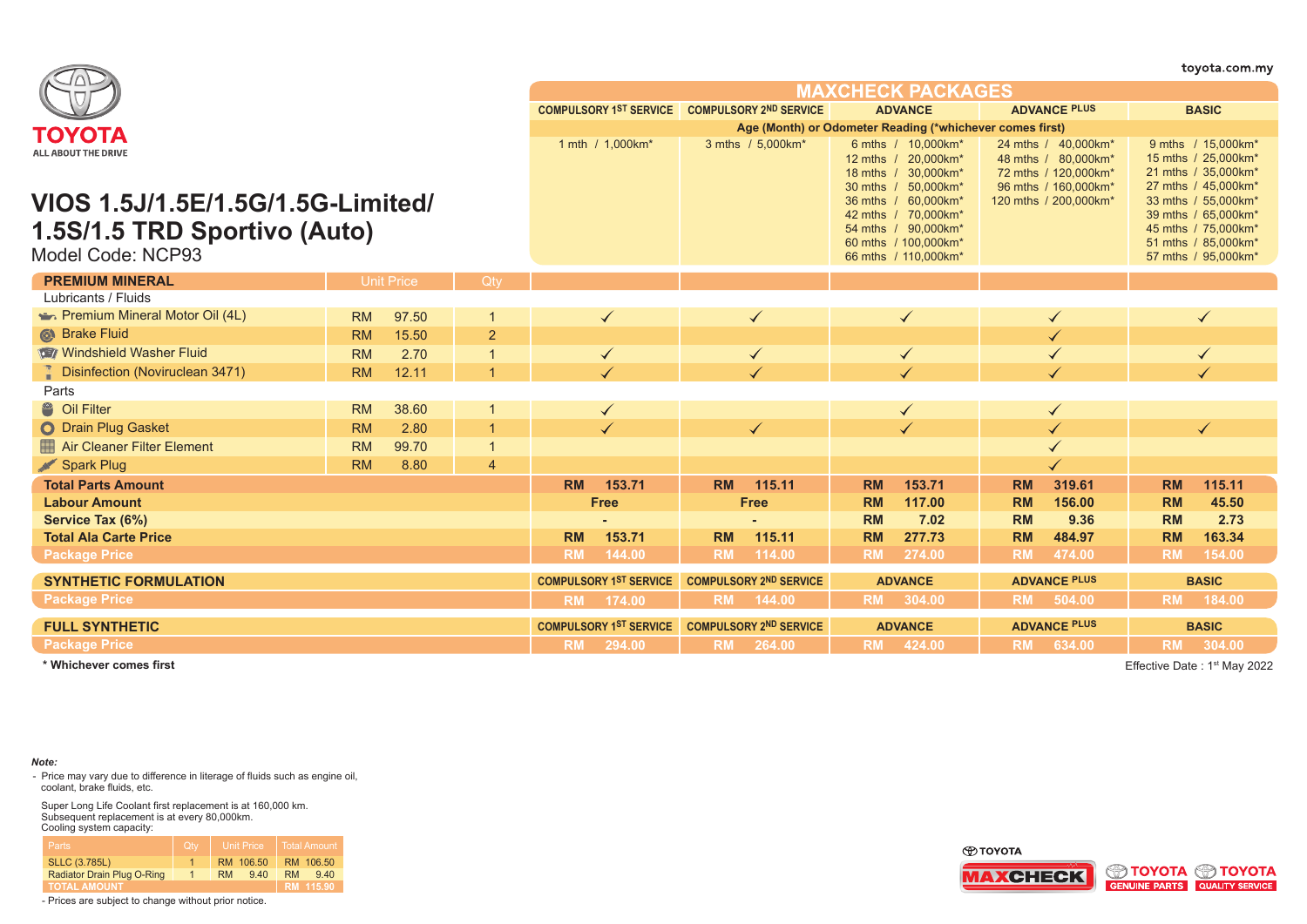| ΤΟΥΟΤΑ<br>1 mth / 1,000km*                                                             | COMPULSORY 1ST SERVICE COMPULSORY 2ND SERVICE<br>3 mths / 5,000km* | <b>MAXCHECK PACKAGES</b><br><b>ADVANCE</b>                                                                        | <b>ADVANCE PLUS</b>                                                                        | <b>BASIC</b>                                                                                                    |  |  |  |
|----------------------------------------------------------------------------------------|--------------------------------------------------------------------|-------------------------------------------------------------------------------------------------------------------|--------------------------------------------------------------------------------------------|-----------------------------------------------------------------------------------------------------------------|--|--|--|
|                                                                                        |                                                                    |                                                                                                                   |                                                                                            |                                                                                                                 |  |  |  |
|                                                                                        |                                                                    | Age (Month) or Odometer Reading (*whichever comes first)                                                          |                                                                                            |                                                                                                                 |  |  |  |
|                                                                                        |                                                                    |                                                                                                                   |                                                                                            |                                                                                                                 |  |  |  |
| ALL ABOUT THE DRIVE                                                                    |                                                                    | 6 mths / 10,000km*<br>12 mths / 20,000km*<br>18 mths / 30.000km*<br>30 mths / 50.000 km*                          | 24 mths / 40,000km*<br>48 mths / 80,000km*<br>72 mths / 120,000km*<br>96 mths / 160,000km* | 9 mths / 15,000km*<br>15 mths / 25,000km*<br>21 mths / 35,000km*<br>27 mths / 45,000km*                         |  |  |  |
| VIOS 1.5J/1.5E/1.5G/1.5G-Limited/<br>1.5S/1.5 TRD Sportivo (Auto)<br>Model Code: NCP93 |                                                                    | 36 mths / 60,000km*<br>42 mths / 70,000km*<br>54 mths / 90,000km*<br>60 mths / 100.000km*<br>66 mths / 110,000km* | 120 mths / 200,000km*                                                                      | 33 mths / 55,000km*<br>39 mths / 65,000km*<br>45 mths / 75,000km*<br>51 mths / 85,000km*<br>57 mths / 95,000km* |  |  |  |
| <b>PREMIUM MINERAL</b><br><b>Unit Price</b><br>Qtv                                     |                                                                    |                                                                                                                   |                                                                                            |                                                                                                                 |  |  |  |
| Lubricants / Fluids                                                                    |                                                                    |                                                                                                                   |                                                                                            |                                                                                                                 |  |  |  |
| Premium Mineral Motor Oil (4L)<br><b>RM</b><br>97.50<br>$\checkmark$                   | $\checkmark$                                                       | $\checkmark$                                                                                                      |                                                                                            | $\checkmark$                                                                                                    |  |  |  |
| Strake Fluid<br>15.50<br>2<br><b>RM</b>                                                |                                                                    |                                                                                                                   |                                                                                            |                                                                                                                 |  |  |  |
| Windshield Washer Fluid<br><b>RM</b><br>2.70<br>$\overline{1}$<br>$\checkmark$         |                                                                    | $\checkmark$                                                                                                      |                                                                                            |                                                                                                                 |  |  |  |
| <b>Disinfection (Noviruclean 3471)</b><br><b>RM</b><br>12.11<br>$\overline{1}$         |                                                                    |                                                                                                                   |                                                                                            |                                                                                                                 |  |  |  |
| Parts                                                                                  |                                                                    |                                                                                                                   |                                                                                            |                                                                                                                 |  |  |  |
| <sup>8</sup> Oil Filter<br>38.60<br><b>RM</b><br>-1                                    |                                                                    |                                                                                                                   |                                                                                            |                                                                                                                 |  |  |  |
| O Drain Plug Gasket<br>2.80<br>$\overline{1}$<br><b>RM</b>                             | $\checkmark$                                                       | $\checkmark$                                                                                                      |                                                                                            |                                                                                                                 |  |  |  |
| Air Cleaner Filter Element<br>99.70<br><b>RM</b><br>$\overline{1}$                     |                                                                    |                                                                                                                   |                                                                                            |                                                                                                                 |  |  |  |
| Spark Plug<br><b>RM</b><br>8.80<br>$\overline{4}$                                      |                                                                    |                                                                                                                   |                                                                                            |                                                                                                                 |  |  |  |
| <b>RM</b><br>153.71<br><b>Total Parts Amount</b>                                       | 115.11<br><b>RM</b>                                                | 153.71<br><b>RM</b>                                                                                               | 319.61<br><b>RM</b>                                                                        | 115.11<br><b>RM</b>                                                                                             |  |  |  |
| <b>Labour Amount</b><br><b>Free</b>                                                    | <b>Free</b>                                                        | <b>RM</b><br>117.00                                                                                               | <b>RM</b><br>156.00                                                                        | <b>RM</b><br>45.50                                                                                              |  |  |  |
| Service Tax (6%)                                                                       |                                                                    | <b>RM</b><br>7.02                                                                                                 | 9.36<br><b>RM</b>                                                                          | <b>RM</b><br>2.73                                                                                               |  |  |  |
| <b>Total Ala Carte Price</b><br><b>RM</b><br>153.71                                    | 115.11<br><b>RM</b>                                                | <b>RM</b><br>277.73                                                                                               | <b>RM</b><br>484.97                                                                        | <b>RM</b><br>163.34                                                                                             |  |  |  |
| <b>RM</b><br>144.00<br><b>Package Price</b>                                            | <b>RM</b><br>114.00                                                | <b>RM</b><br>274.00                                                                                               | 474.00<br><b>RM</b>                                                                        | 154.00<br><b>RM</b>                                                                                             |  |  |  |
| <b>COMPULSORY 1ST SERVICE</b><br><b>SYNTHETIC FORMULATION</b>                          | <b>COMPULSORY 2ND SERVICE</b>                                      | <b>ADVANCE</b>                                                                                                    | <b>ADVANCE PLUS</b>                                                                        | <b>BASIC</b>                                                                                                    |  |  |  |
| <b>Package Price</b><br><b>RM</b><br>174.00                                            | <b>RM</b><br>144.00                                                | RM 304.00                                                                                                         | <b>RM</b><br>504.00                                                                        | <b>RM</b><br>184.00                                                                                             |  |  |  |
| <b>COMPULSORY 1ST SERVICE</b><br><b>FULL SYNTHETIC</b>                                 | <b>COMPULSORY 2ND SERVICE</b>                                      | <b>ADVANCE</b>                                                                                                    | <b>ADVANCE PLUS</b>                                                                        | <b>BASIC</b>                                                                                                    |  |  |  |
| <b>Package Price</b><br>RM 294.00                                                      | RM 264.00                                                          | RM 424.00                                                                                                         | RM 634.00                                                                                  | RM 304.00                                                                                                       |  |  |  |

Effective Date: 1<sup>st</sup> May 2022

# *Note:*

- Price may vary due to difference in literage of fluids such as engine oil, coolant, brake fluids, etc.

Super Long Life Coolant first replacement is at 160,000 km. Subsequent replacement is at every 80,000km. Cooling system capacity:

| <b>Parts</b>               | Qtv |           | <b>Unit Price</b> |     | Total Amount |
|----------------------------|-----|-----------|-------------------|-----|--------------|
| <b>SLLC (3.785L)</b>       |     |           | RM 106.50         |     | RM 106.50    |
| Radiator Drain Plug O-Ring |     | <b>RM</b> | 9.40              | RM. | 940          |
| <b>TOTAL AMOUNT</b>        |     |           |                   |     | RM 115.90    |



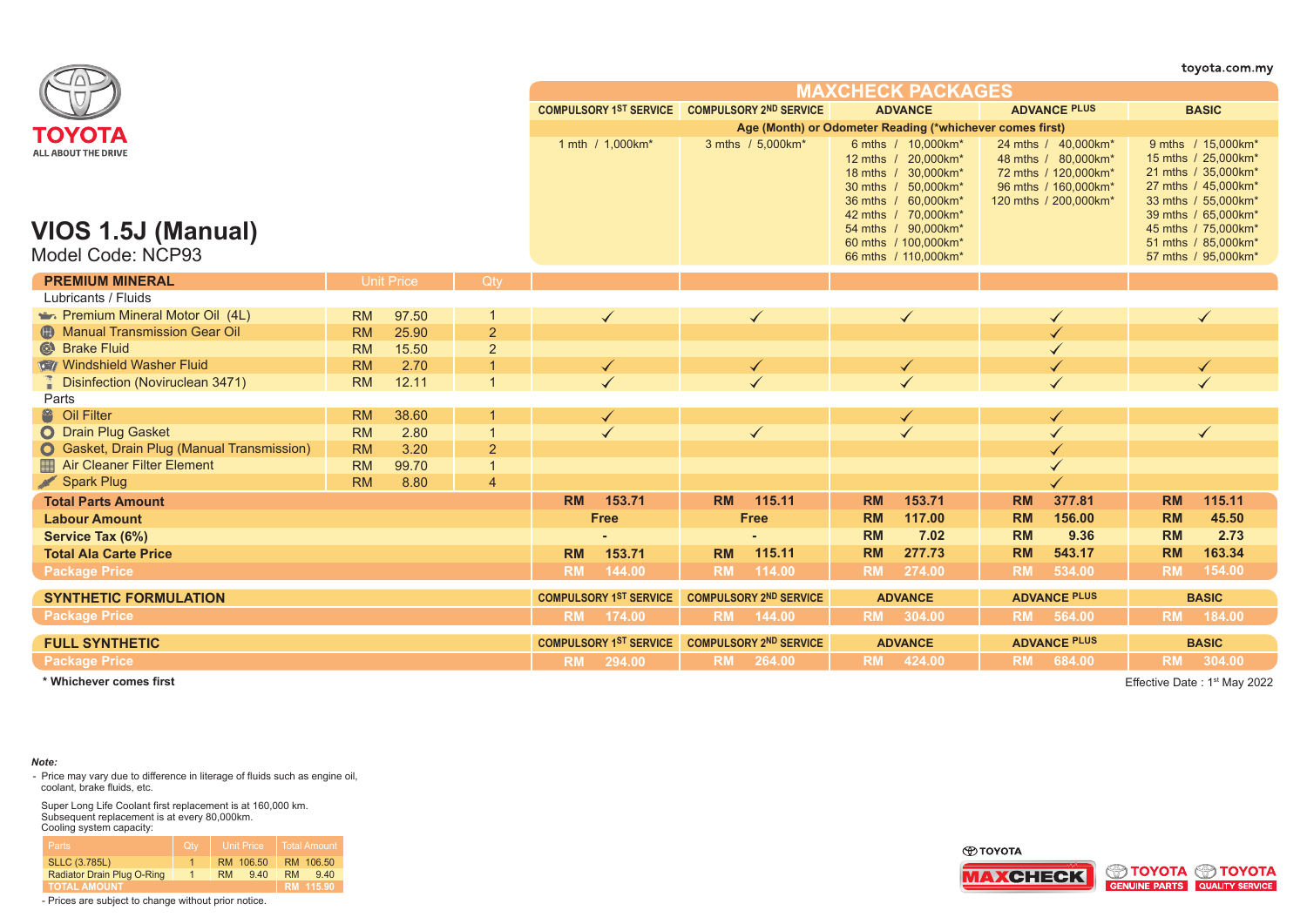|                                                                |           |                   |                |                               |                                               |                   |                                                          |                    |                                                                                                                                                                                        |                     |                                                                                                                     |           | toyota.com.my                                                                                                                                                                                              |
|----------------------------------------------------------------|-----------|-------------------|----------------|-------------------------------|-----------------------------------------------|-------------------|----------------------------------------------------------|--------------------|----------------------------------------------------------------------------------------------------------------------------------------------------------------------------------------|---------------------|---------------------------------------------------------------------------------------------------------------------|-----------|------------------------------------------------------------------------------------------------------------------------------------------------------------------------------------------------------------|
|                                                                |           |                   |                |                               |                                               |                   |                                                          |                    | <b>MAXCHECK PACKAGES</b>                                                                                                                                                               |                     |                                                                                                                     |           |                                                                                                                                                                                                            |
|                                                                |           |                   |                |                               | COMPULSORY 1ST SERVICE COMPULSORY 2ND SERVICE |                   |                                                          |                    | <b>ADVANCE</b>                                                                                                                                                                         |                     | <b>ADVANCE PLUS</b>                                                                                                 |           | <b>BASIC</b>                                                                                                                                                                                               |
| ΤΟΥΟΤΑ                                                         |           |                   |                |                               |                                               |                   | Age (Month) or Odometer Reading (*whichever comes first) |                    |                                                                                                                                                                                        |                     |                                                                                                                     |           |                                                                                                                                                                                                            |
| ALL ABOUT THE DRIVE<br>VIOS 1.5J (Manual)<br>Model Code: NCP93 |           |                   |                | 1 mth / 1,000km*              |                                               | 3 mths / 5,000km* |                                                          | 6 mths / 10,000km* | 12 mths / 20,000km*<br>18 mths / 30,000km*<br>30 mths / 50,000km*<br>36 mths / 60,000km*<br>42 mths / 70.000km*<br>54 mths / 90,000km*<br>60 mths / 100,000km*<br>66 mths / 110,000km* |                     | 24 mths / 40,000km*<br>48 mths / 80,000km*<br>72 mths / 120,000km*<br>96 mths / 160,000km*<br>120 mths / 200,000km* |           | 9 mths / 15,000km*<br>15 mths / 25,000km*<br>21 mths / 35,000km*<br>27 mths / 45,000km*<br>33 mths / 55,000km*<br>39 mths / 65,000km*<br>45 mths / 75,000km*<br>51 mths / 85,000km*<br>57 mths / 95,000km* |
| <b>PREMIUM MINERAL</b>                                         |           | <b>Unit Price</b> | Qty            |                               |                                               |                   |                                                          |                    |                                                                                                                                                                                        |                     |                                                                                                                     |           |                                                                                                                                                                                                            |
| Lubricants / Fluids                                            |           |                   |                |                               |                                               |                   |                                                          |                    |                                                                                                                                                                                        |                     |                                                                                                                     |           |                                                                                                                                                                                                            |
| Premium Mineral Motor Oil (4L)                                 | <b>RM</b> | 97.50             |                |                               | $\checkmark$                                  |                   | $\checkmark$                                             |                    | $\checkmark$                                                                                                                                                                           |                     |                                                                                                                     |           | $\checkmark$                                                                                                                                                                                               |
| <b>CD</b> Manual Transmission Gear Oil                         | <b>RM</b> | 25.90             | $\overline{2}$ |                               |                                               |                   |                                                          |                    |                                                                                                                                                                                        |                     |                                                                                                                     |           |                                                                                                                                                                                                            |
| <sup>©</sup> Brake Fluid                                       | <b>RM</b> | 15.50             | $\overline{2}$ |                               |                                               |                   |                                                          |                    |                                                                                                                                                                                        |                     |                                                                                                                     |           |                                                                                                                                                                                                            |
| Windshield Washer Fluid                                        | <b>RM</b> | 2.70              |                |                               | $\checkmark$                                  |                   |                                                          |                    | ✔                                                                                                                                                                                      |                     |                                                                                                                     |           |                                                                                                                                                                                                            |
| <b>Disinfection (Noviruclean 3471)</b>                         | <b>RM</b> | 12.11             | $\overline{1}$ |                               |                                               |                   |                                                          |                    |                                                                                                                                                                                        |                     |                                                                                                                     |           |                                                                                                                                                                                                            |
| Parts                                                          |           |                   |                |                               |                                               |                   |                                                          |                    |                                                                                                                                                                                        |                     |                                                                                                                     |           |                                                                                                                                                                                                            |
| <sup>8</sup> Oil Filter                                        | <b>RM</b> | 38.60             | -1             |                               | ✔                                             |                   |                                                          |                    | ✔                                                                                                                                                                                      |                     |                                                                                                                     |           |                                                                                                                                                                                                            |
| O Drain Plug Gasket                                            | <b>RM</b> | 2.80              | $\overline{1}$ |                               |                                               |                   | ✓                                                        |                    |                                                                                                                                                                                        |                     |                                                                                                                     |           | ✓                                                                                                                                                                                                          |
| <b>O</b> Gasket, Drain Plug (Manual Transmission)              | <b>RM</b> | 3.20              | $\overline{2}$ |                               |                                               |                   |                                                          |                    |                                                                                                                                                                                        |                     |                                                                                                                     |           |                                                                                                                                                                                                            |
| Air Cleaner Filter Element                                     | <b>RM</b> | 99.70             | $\mathbf 1$    |                               |                                               |                   |                                                          |                    |                                                                                                                                                                                        |                     |                                                                                                                     |           |                                                                                                                                                                                                            |
| Spark Plug                                                     | <b>RM</b> | 8.80              | $\overline{4}$ |                               |                                               |                   |                                                          |                    |                                                                                                                                                                                        |                     |                                                                                                                     |           |                                                                                                                                                                                                            |
| <b>Total Parts Amount</b>                                      |           |                   |                | <b>RM</b>                     | 153.71                                        | <b>RM</b>         | 115.11                                                   | <b>RM</b>          | 153.71                                                                                                                                                                                 | <b>RM</b>           | 377.81                                                                                                              | <b>RM</b> | 115.11                                                                                                                                                                                                     |
| <b>Labour Amount</b>                                           |           |                   |                |                               | <b>Free</b>                                   |                   | <b>Free</b>                                              | <b>RM</b>          | 117.00                                                                                                                                                                                 | <b>RM</b>           | 156.00                                                                                                              | <b>RM</b> | 45.50                                                                                                                                                                                                      |
| Service Tax (6%)                                               |           |                   |                |                               |                                               |                   |                                                          | <b>RM</b>          | 7.02                                                                                                                                                                                   | <b>RM</b>           | 9.36                                                                                                                | <b>RM</b> | 2.73                                                                                                                                                                                                       |
| <b>Total Ala Carte Price</b>                                   |           |                   |                | <b>RM</b>                     | 153.71                                        | <b>RM</b>         | 115.11                                                   | <b>RM</b>          | 277.73                                                                                                                                                                                 | <b>RM</b>           | 543.17                                                                                                              | <b>RM</b> | 163.34                                                                                                                                                                                                     |
| <b>Package Price</b>                                           |           |                   |                | <b>RM</b>                     | 144.00                                        | <b>RM</b>         | 114.00                                                   | <b>RM</b>          | 274.00                                                                                                                                                                                 | <b>RM</b>           | 534.00                                                                                                              | <b>RM</b> | 154.00                                                                                                                                                                                                     |
| <b>SYNTHETIC FORMULATION</b>                                   |           |                   |                |                               | <b>COMPULSORY 1ST SERVICE</b>                 |                   | <b>COMPULSORY 2ND SERVICE</b>                            |                    | <b>ADVANCE</b>                                                                                                                                                                         |                     | <b>ADVANCE PLUS</b>                                                                                                 |           | <b>BASIC</b>                                                                                                                                                                                               |
| <b>Package Price</b>                                           |           |                   |                | <b>RM</b>                     | 174.00                                        |                   | RM 144.00                                                |                    | RM 304.00                                                                                                                                                                              |                     | RM 564.00                                                                                                           | <b>RM</b> | 184.00                                                                                                                                                                                                     |
| <b>FULL SYNTHETIC</b>                                          |           |                   |                | <b>COMPULSORY 1ST SERVICE</b> |                                               |                   | <b>COMPULSORY 2ND SERVICE</b>                            | <b>ADVANCE</b>     |                                                                                                                                                                                        | <b>ADVANCE PLUS</b> |                                                                                                                     |           | <b>BASIC</b>                                                                                                                                                                                               |
| <b>Package Price</b>                                           |           |                   |                |                               | RM 294.00                                     |                   | RM 264.00                                                |                    | RM 424.00                                                                                                                                                                              |                     | RM 684.00                                                                                                           | <b>RM</b> | 304.00                                                                                                                                                                                                     |
|                                                                |           |                   |                |                               |                                               |                   |                                                          |                    |                                                                                                                                                                                        |                     |                                                                                                                     |           |                                                                                                                                                                                                            |

Effective Date : 1st May 2022

## *Note:*

- Price may vary due to difference in literage of fluids such as engine oil, coolant, brake fluids, etc.

Super Long Life Coolant first replacement is at 160,000 km. Subsequent replacement is at every 80,000km. Cooling system capacity:

| Parts                      | <b>Qtv</b> | <b>Unit Price</b> | <b>Total Amount</b> |
|----------------------------|------------|-------------------|---------------------|
| <b>SLLC (3.785L)</b>       |            | RM 106.50         | RM 106.50           |
| Radiator Drain Plug O-Ring |            | 9.40<br><b>RM</b> | RM.<br>9,40         |
| <b>TOTAL AMOUNT</b>        |            |                   | RM 115.90           |



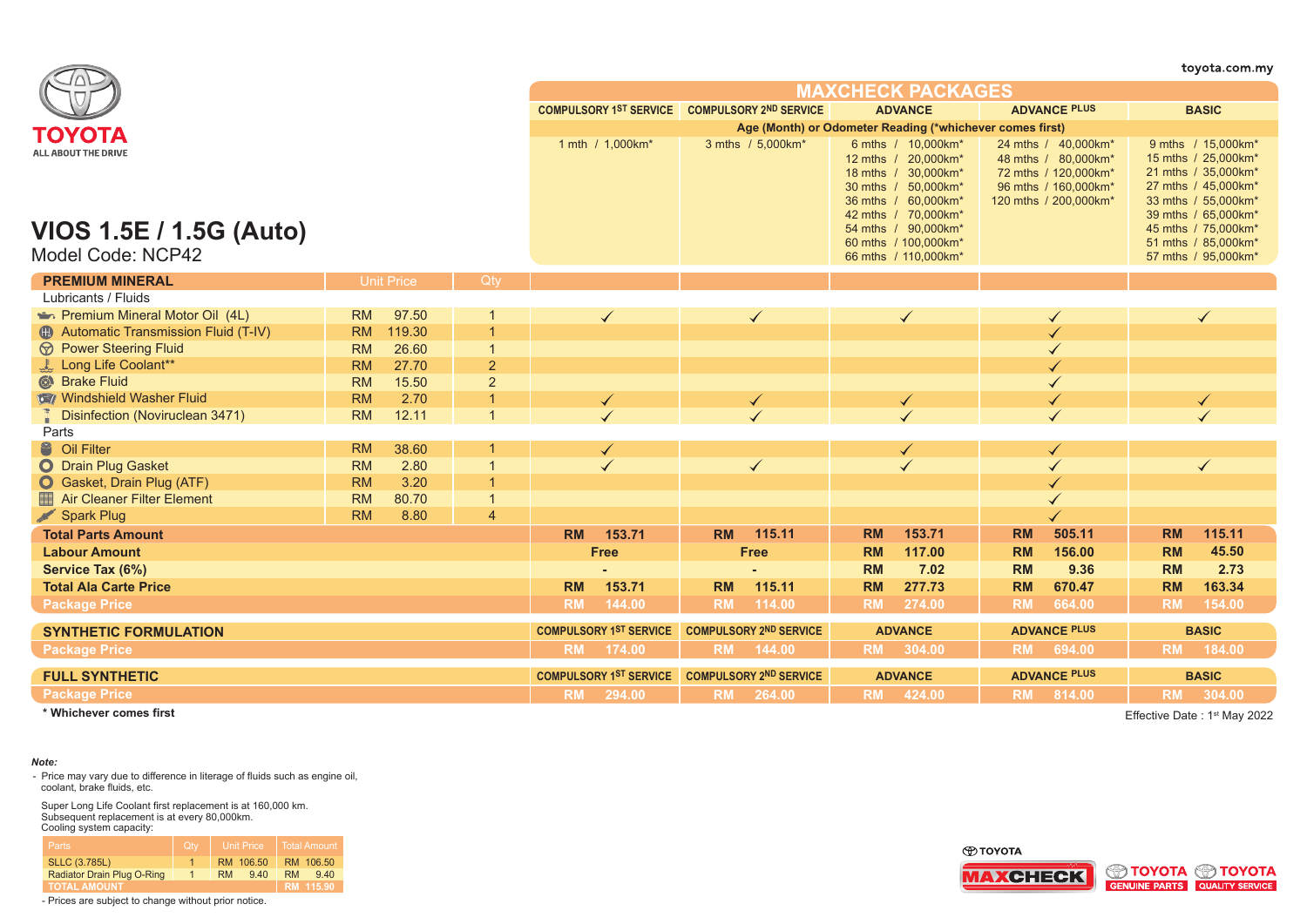|                                                     |           |                   |                |           |                                               |           |                               |           |                                                                                                                                       |           |                                                                                                                     |           | toyota.com.my                                                                                                                         |
|-----------------------------------------------------|-----------|-------------------|----------------|-----------|-----------------------------------------------|-----------|-------------------------------|-----------|---------------------------------------------------------------------------------------------------------------------------------------|-----------|---------------------------------------------------------------------------------------------------------------------|-----------|---------------------------------------------------------------------------------------------------------------------------------------|
|                                                     |           |                   |                |           |                                               |           |                               |           | <b>MAXCHECK PACKAGES</b>                                                                                                              |           |                                                                                                                     |           |                                                                                                                                       |
|                                                     |           |                   |                |           | COMPULSORY 1ST SERVICE COMPULSORY 2ND SERVICE |           |                               |           | <b>ADVANCE</b>                                                                                                                        |           | <b>ADVANCE PLUS</b>                                                                                                 |           | <b>BASIC</b>                                                                                                                          |
| ΤΟΥΟΤΑ                                              |           |                   |                |           |                                               |           |                               |           | Age (Month) or Odometer Reading (*whichever comes first)                                                                              |           |                                                                                                                     |           |                                                                                                                                       |
| <b>ALL ABOUT THE DRIVE</b>                          |           |                   |                |           | 1 mth / 1,000km*                              |           | 3 mths / 5,000km*             |           | 6 mths / 10,000km*<br>12 mths / 20,000km*<br>18 mths / 30,000km*<br>30 mths / 50,000km*<br>36 mths / 60,000km*<br>42 mths / 70,000km* |           | 24 mths / 40,000km*<br>48 mths / 80,000km*<br>72 mths / 120,000km*<br>96 mths / 160,000km*<br>120 mths / 200,000km* |           | 9 mths / 15,000km*<br>15 mths / 25,000km*<br>21 mths / 35,000km*<br>27 mths / 45,000km*<br>33 mths / 55,000km*<br>39 mths / 65,000km* |
| <b>VIOS 1.5E / 1.5G (Auto)</b><br>Model Code: NCP42 |           |                   |                |           |                                               |           |                               |           | 54 mths / 90,000km*<br>60 mths / 100,000km*<br>66 mths / 110,000km*                                                                   |           |                                                                                                                     |           | 45 mths / 75,000km*<br>51 mths / 85,000km*<br>57 mths / 95,000km*                                                                     |
| <b>PREMIUM MINERAL</b><br>Lubricants / Fluids       |           | <b>Unit Price</b> | Qty            |           |                                               |           |                               |           |                                                                                                                                       |           |                                                                                                                     |           |                                                                                                                                       |
| Premium Mineral Motor Oil (4L)                      | <b>RM</b> | 97.50             |                |           | $\checkmark$                                  |           | $\checkmark$                  |           | $\checkmark$                                                                                                                          |           |                                                                                                                     |           |                                                                                                                                       |
| 49 Automatic Transmission Fluid (T-IV)              | <b>RM</b> | 119.30            | $\overline{1}$ |           |                                               |           |                               |           |                                                                                                                                       |           |                                                                                                                     |           |                                                                                                                                       |
| <b><i>S</i></b> Power Steering Fluid                | <b>RM</b> | 26.60             | $\overline{1}$ |           |                                               |           |                               |           |                                                                                                                                       |           |                                                                                                                     |           |                                                                                                                                       |
| Long Life Coolant**                                 | <b>RM</b> | 27.70             | 2              |           |                                               |           |                               |           |                                                                                                                                       |           |                                                                                                                     |           |                                                                                                                                       |
| Strake Fluid                                        | <b>RM</b> | 15.50             | $\overline{2}$ |           |                                               |           |                               |           |                                                                                                                                       |           |                                                                                                                     |           |                                                                                                                                       |
| Windshield Washer Fluid                             | <b>RM</b> | 2.70              | $\overline{1}$ |           |                                               |           |                               |           |                                                                                                                                       |           |                                                                                                                     |           |                                                                                                                                       |
| <b>Disinfection (Noviruclean 3471)</b>              | <b>RM</b> | 12.11             | $\overline{1}$ |           |                                               |           |                               |           |                                                                                                                                       |           |                                                                                                                     |           |                                                                                                                                       |
| Parts                                               |           |                   |                |           |                                               |           |                               |           |                                                                                                                                       |           |                                                                                                                     |           |                                                                                                                                       |
| <sup>8</sup> Oil Filter                             | <b>RM</b> | 38.60             |                |           |                                               |           |                               |           | $\blacktriangledown$                                                                                                                  |           |                                                                                                                     |           |                                                                                                                                       |
| O Drain Plug Gasket                                 | <b>RM</b> | 2.80              | $\overline{1}$ |           |                                               |           | $\checkmark$                  |           |                                                                                                                                       |           |                                                                                                                     |           | $\checkmark$                                                                                                                          |
| Gasket, Drain Plug (ATF)                            | <b>RM</b> | 3.20              | $\overline{1}$ |           |                                               |           |                               |           |                                                                                                                                       |           |                                                                                                                     |           |                                                                                                                                       |
| Air Cleaner Filter Element                          | <b>RM</b> | 80.70             | $\overline{1}$ |           |                                               |           |                               |           |                                                                                                                                       |           |                                                                                                                     |           |                                                                                                                                       |
| Spark Plug                                          | <b>RM</b> | 8.80              | $\overline{4}$ |           |                                               |           |                               |           |                                                                                                                                       |           |                                                                                                                     |           |                                                                                                                                       |
| <b>Total Parts Amount</b>                           |           |                   |                | <b>RM</b> | 153.71                                        | <b>RM</b> | 115.11                        | <b>RM</b> | 153.71                                                                                                                                | <b>RM</b> | 505.11                                                                                                              | <b>RM</b> | 115.11                                                                                                                                |
| <b>Labour Amount</b>                                |           |                   |                |           | <b>Free</b>                                   |           | <b>Free</b>                   | <b>RM</b> | 117.00                                                                                                                                | <b>RM</b> | 156.00                                                                                                              | <b>RM</b> | 45.50                                                                                                                                 |
| Service Tax (6%)                                    |           |                   |                |           |                                               |           |                               | <b>RM</b> | 7.02                                                                                                                                  | <b>RM</b> | 9.36                                                                                                                | <b>RM</b> | 2.73                                                                                                                                  |
| <b>Total Ala Carte Price</b>                        |           |                   |                | <b>RM</b> | 153.71                                        | <b>RM</b> | 115.11                        | <b>RM</b> | 277.73                                                                                                                                | <b>RM</b> | 670.47                                                                                                              | <b>RM</b> | 163.34                                                                                                                                |
| <b>Package Price</b>                                |           |                   |                | <b>RM</b> | 144.00                                        | <b>RM</b> | 114.00                        | <b>RM</b> | 274.00                                                                                                                                | <b>RM</b> | 664.00                                                                                                              | <b>RM</b> | 154.00                                                                                                                                |
| <b>SYNTHETIC FORMULATION</b>                        |           |                   |                |           | <b>COMPULSORY 1ST SERVICE</b>                 |           | <b>COMPULSORY 2ND SERVICE</b> |           | <b>ADVANCE</b>                                                                                                                        |           | <b>ADVANCE PLUS</b>                                                                                                 |           | <b>BASIC</b>                                                                                                                          |
| <b>Package Price</b>                                |           |                   |                | <b>RM</b> | 174.00                                        | <b>RM</b> | 144.00                        | <b>RM</b> | 304.00                                                                                                                                | <b>RM</b> | 694.00                                                                                                              | <b>RM</b> | 184.00                                                                                                                                |
| <b>FULL SYNTHETIC</b>                               |           |                   |                |           | <b>COMPULSORY 1ST SERVICE</b>                 |           | <b>COMPULSORY 2ND SERVICE</b> |           | <b>ADVANCE</b>                                                                                                                        |           | <b>ADVANCE PLUS</b>                                                                                                 |           | <b>BASIC</b>                                                                                                                          |
| <b>Package Price</b>                                |           |                   |                | <b>RM</b> | 294.00                                        | <b>RM</b> | 264.00                        |           | RM 424.00                                                                                                                             |           | RM 814.00                                                                                                           |           | RM 304.00                                                                                                                             |

Effective Date: 1<sup>st</sup> May 2022

### *Note:*

- Price may vary due to difference in literage of fluids such as engine oil, coolant, brake fluids, etc.

Super Long Life Coolant first replacement is at 160,000 km. Subsequent replacement is at every 80,000km. Cooling system capacity:

| Parts                      | Qtv | <b>Unit Price</b> | Total Amount     |
|----------------------------|-----|-------------------|------------------|
| <b>SLLC (3.785L)</b>       |     | RM 106.50         | RM 106.50        |
| Radiator Drain Plug O-Ring |     | 9.40<br><b>RM</b> | <b>RM</b><br>940 |
| <b>TOTAL AMOUNT</b>        |     |                   | RM 115.90        |



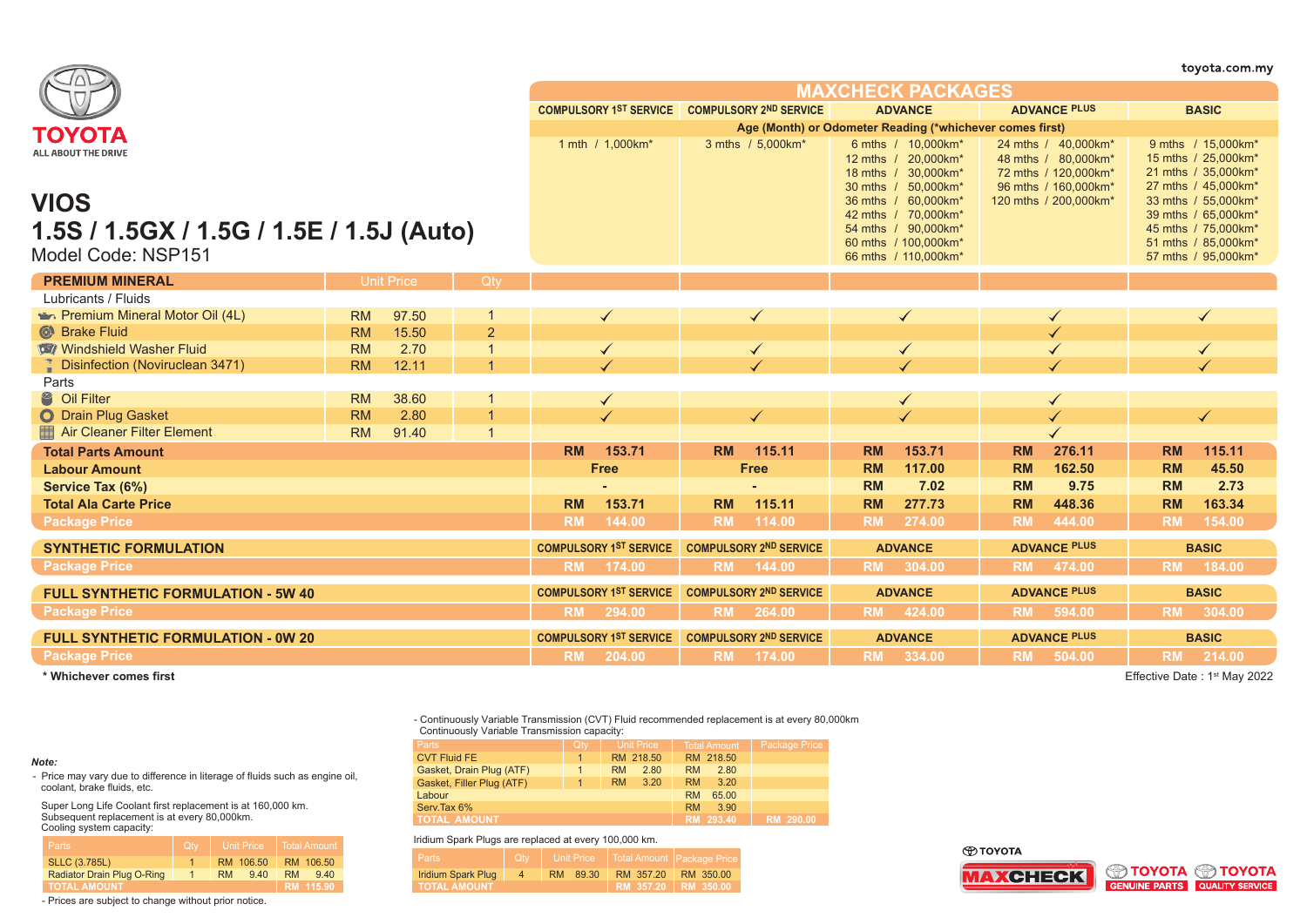|                                                                               |           |                   |                |           |                                               |           |                               |           |                                                                                                                    |           |                                                                                            |           | toyota.com.my                                                                                                   |
|-------------------------------------------------------------------------------|-----------|-------------------|----------------|-----------|-----------------------------------------------|-----------|-------------------------------|-----------|--------------------------------------------------------------------------------------------------------------------|-----------|--------------------------------------------------------------------------------------------|-----------|-----------------------------------------------------------------------------------------------------------------|
|                                                                               |           |                   |                |           |                                               |           |                               |           | <b>MAXCHECK PACKAGES</b>                                                                                           |           |                                                                                            |           |                                                                                                                 |
|                                                                               |           |                   |                |           | COMPULSORY 1ST SERVICE COMPULSORY 2ND SERVICE |           |                               |           | <b>ADVANCE</b>                                                                                                     |           | <b>ADVANCE PLUS</b>                                                                        |           | <b>BASIC</b>                                                                                                    |
| ΤΟΥΟΤΑ                                                                        |           |                   |                |           |                                               |           |                               |           | Age (Month) or Odometer Reading (*whichever comes first)                                                           |           |                                                                                            |           |                                                                                                                 |
| ALL ABOUT THE DRIVE                                                           |           |                   |                |           | 1 mth / 1,000km*                              |           | 3 mths / 5,000km*             |           | 6 mths / 10,000km*<br>12 mths / 20,000km*<br>18 mths / 30,000km*<br>30 mths / 50,000km*                            |           | 24 mths / 40,000km*<br>48 mths / 80,000km*<br>72 mths / 120,000km*<br>96 mths / 160,000km* |           | 9 mths / 15,000km*<br>15 mths / 25,000km*<br>21 mths / 35,000km*<br>27 mths / 45,000km*                         |
| <b>VIOS</b><br>1.5S / 1.5GX / 1.5G / 1.5E / 1.5J (Auto)<br>Model Code: NSP151 |           |                   |                |           |                                               |           |                               |           | 36 mths / 60.000 km*<br>42 mths / 70,000km*<br>54 mths / 90,000km*<br>60 mths / 100,000km*<br>66 mths / 110,000km* |           | 120 mths / 200,000km*                                                                      |           | 33 mths / 55,000km*<br>39 mths / 65,000km*<br>45 mths / 75,000km*<br>51 mths / 85,000km*<br>57 mths / 95,000km* |
| <b>PREMIUM MINERAL</b>                                                        |           | <b>Unit Price</b> | Qty            |           |                                               |           |                               |           |                                                                                                                    |           |                                                                                            |           |                                                                                                                 |
| Lubricants / Fluids                                                           |           |                   |                |           |                                               |           |                               |           |                                                                                                                    |           |                                                                                            |           |                                                                                                                 |
| <b>Premium Mineral Motor Oil (4L)</b>                                         | <b>RM</b> | 97.50             |                |           | $\checkmark$                                  |           |                               |           | $\checkmark$                                                                                                       |           |                                                                                            |           |                                                                                                                 |
| <b>C</b> Brake Fluid                                                          | <b>RM</b> | 15.50             | $\overline{2}$ |           |                                               |           |                               |           |                                                                                                                    |           |                                                                                            |           |                                                                                                                 |
| Windshield Washer Fluid                                                       | <b>RM</b> | 2.70              |                |           | $\checkmark$                                  |           | $\checkmark$                  |           | $\checkmark$                                                                                                       |           |                                                                                            |           |                                                                                                                 |
| <b>Disinfection (Noviruclean 3471)</b>                                        | <b>RM</b> | 12.11             |                |           |                                               |           |                               |           |                                                                                                                    |           |                                                                                            |           |                                                                                                                 |
| Parts                                                                         |           |                   |                |           |                                               |           |                               |           |                                                                                                                    |           |                                                                                            |           |                                                                                                                 |
| <sup>8</sup> Oil Filter                                                       | <b>RM</b> | 38.60             |                |           | $\checkmark$                                  |           |                               |           | $\checkmark$                                                                                                       |           |                                                                                            |           |                                                                                                                 |
| O Drain Plug Gasket                                                           | <b>RM</b> | 2.80              | $\overline{1}$ |           |                                               |           | $\checkmark$                  |           |                                                                                                                    |           |                                                                                            |           | ✓                                                                                                               |
| Air Cleaner Filter Element                                                    | <b>RM</b> | 91.40             | $\mathbf 1$    |           |                                               |           |                               |           |                                                                                                                    |           |                                                                                            |           |                                                                                                                 |
| <b>Total Parts Amount</b>                                                     |           |                   |                | <b>RM</b> | 153.71                                        | <b>RM</b> | 115.11                        | <b>RM</b> | 153.71                                                                                                             | <b>RM</b> | 276.11                                                                                     | <b>RM</b> | 115.11                                                                                                          |
| <b>Labour Amount</b>                                                          |           |                   |                |           | <b>Free</b>                                   |           | <b>Free</b>                   | <b>RM</b> | 117.00                                                                                                             | <b>RM</b> | 162.50                                                                                     | <b>RM</b> | 45.50                                                                                                           |
| Service Tax (6%)                                                              |           |                   |                |           |                                               |           |                               | <b>RM</b> | 7.02                                                                                                               | <b>RM</b> | 9.75                                                                                       | <b>RM</b> | 2.73                                                                                                            |
| <b>Total Ala Carte Price</b>                                                  |           |                   |                | <b>RM</b> | 153.71                                        | <b>RM</b> | 115.11                        | <b>RM</b> | 277.73                                                                                                             | <b>RM</b> | 448.36                                                                                     | <b>RM</b> | 163.34                                                                                                          |
| <b>Package Price</b>                                                          |           |                   |                | <b>RM</b> | 144.00                                        | <b>RM</b> | 114.00                        | <b>RM</b> | 274.00                                                                                                             | <b>RM</b> | 444.00                                                                                     | <b>RM</b> | 154.00                                                                                                          |
| <b>SYNTHETIC FORMULATION</b>                                                  |           |                   |                |           | <b>COMPULSORY 1ST SERVICE</b>                 |           | <b>COMPULSORY 2ND SERVICE</b> |           | <b>ADVANCE</b>                                                                                                     |           | <b>ADVANCE PLUS</b>                                                                        |           | <b>BASIC</b>                                                                                                    |
| <b>Package Price</b>                                                          |           |                   |                | <b>RM</b> | 174.00                                        | <b>RM</b> | 144.00                        |           | RM 304.00                                                                                                          | <b>RM</b> | 474.00                                                                                     | <b>RM</b> | 184.00                                                                                                          |
| <b>FULL SYNTHETIC FORMULATION - 5W 40</b>                                     |           |                   |                |           | <b>COMPULSORY 1ST SERVICE</b>                 |           | <b>COMPULSORY 2ND SERVICE</b> |           | <b>ADVANCE</b>                                                                                                     |           | <b>ADVANCE PLUS</b>                                                                        |           | <b>BASIC</b>                                                                                                    |
| <b>Package Price</b>                                                          |           |                   |                | <b>RM</b> | 294.00                                        | <b>RM</b> | 264.00                        |           | RM 424.00                                                                                                          |           | RM 594.00                                                                                  |           | RM 304.00                                                                                                       |
| <b>FULL SYNTHETIC FORMULATION - 0W 20</b>                                     |           |                   |                |           | <b>COMPULSORY 1ST SERVICE</b>                 |           | <b>COMPULSORY 2ND SERVICE</b> |           | <b>ADVANCE</b>                                                                                                     |           | <b>ADVANCE PLUS</b>                                                                        |           | <b>BASIC</b>                                                                                                    |
| <b>Package Price</b>                                                          |           |                   |                | <b>RM</b> | 204.00                                        | <b>RM</b> | 174.00                        |           | RM 334.00                                                                                                          |           | RM 504.00                                                                                  |           | RM 214.00                                                                                                       |

coolant, brake fluids, etc.

Cooling system capacity:

*Note:*

Effective Date : 1st May 2022

- Continuously Variable Transmission (CVT) Fluid recommended replacement is at every 80,000km Continuously Variable Transmission capacity:

| <b>Parts</b>              | <b>Qty</b> | Unit Price        | <b>Total Amount</b> | <b>Package Price</b> |
|---------------------------|------------|-------------------|---------------------|----------------------|
| <b>CVT Fluid FE</b>       |            | RM 218.50         | RM 218.50           |                      |
| Gasket, Drain Plug (ATF)  |            | 2.80<br><b>RM</b> | <b>RM</b><br>2.80   |                      |
| Gasket, Filler Plug (ATF) |            | <b>RM</b><br>3.20 | <b>RM</b><br>3.20   |                      |
| Labour                    |            |                   | <b>RM</b><br>65.00  |                      |
| Serv.Tax 6%               |            |                   | <b>RM</b><br>3.90   |                      |
| <b>TOTAL AMOUNT</b>       |            |                   | RM 293.40           | RM 290.00            |

Iridium Spark Plugs are replaced at every 100,000 km.

| Parts /             | <b>Qtv</b> |             |                       | Unit Price   Total Amount   Package Price |
|---------------------|------------|-------------|-----------------------|-------------------------------------------|
| Iridium Spark Plug  |            | 89.30<br>RM | RM 357.20             | RM 350.00                                 |
| <b>TOTAL AMOUNT</b> |            |             | RM 357.20   RM 350.00 |                                           |

- Prices are subject to change without prior notice.

Radiator Drain Plug O-Ring | 1 | RM 9.40 | RM 9.40

**TOTAL AMOUNT RM 115.90**

SLLC (3.785L) 1 RM 106.50 RM 106.50 1

- Price may vary due to difference in literage of fluids such as engine oil,

Super Long Life Coolant first replacement is at 160,000 km. Subsequent replacement is at every 80,000km.

**O TOYOTA**